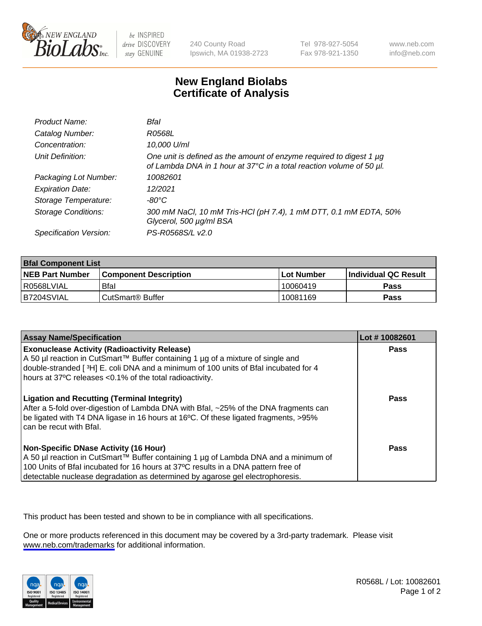

be INSPIRED drive DISCOVERY stay GENUINE

240 County Road Ipswich, MA 01938-2723 Tel 978-927-5054 Fax 978-921-1350

www.neb.com info@neb.com

## **New England Biolabs Certificate of Analysis**

| Product Name:              | Bfal                                                                                                                                             |
|----------------------------|--------------------------------------------------------------------------------------------------------------------------------------------------|
| Catalog Number:            | <i>R0568L</i>                                                                                                                                    |
| Concentration:             | 10,000 U/ml                                                                                                                                      |
| Unit Definition:           | One unit is defined as the amount of enzyme required to digest 1 $\mu$ g<br>of Lambda DNA in 1 hour at 37°C in a total reaction volume of 50 µl. |
| Packaging Lot Number:      | 10082601                                                                                                                                         |
| <b>Expiration Date:</b>    | 12/2021                                                                                                                                          |
| Storage Temperature:       | $-80^{\circ}$ C                                                                                                                                  |
| <b>Storage Conditions:</b> | 300 mM NaCl, 10 mM Tris-HCl (pH 7.4), 1 mM DTT, 0.1 mM EDTA, 50%<br>Glycerol, 500 µg/ml BSA                                                      |
| Specification Version:     | PS-R0568S/L v2.0                                                                                                                                 |

| <b>Bfal Component List</b> |                              |              |                             |  |
|----------------------------|------------------------------|--------------|-----------------------------|--|
| <b>NEB Part Number</b>     | <b>Component Description</b> | l Lot Number | <b>Individual QC Result</b> |  |
| R0568LVIAL                 | Bfal                         | 10060419     | <b>Pass</b>                 |  |
| B7204SVIAL                 | CutSmart <sup>®</sup> Buffer | 10081169     | Pass                        |  |

| <b>Assay Name/Specification</b>                                                                                                                                                                                                                                                                           | Lot #10082601 |
|-----------------------------------------------------------------------------------------------------------------------------------------------------------------------------------------------------------------------------------------------------------------------------------------------------------|---------------|
| <b>Exonuclease Activity (Radioactivity Release)</b><br>A 50 µl reaction in CutSmart™ Buffer containing 1 µg of a mixture of single and<br>double-stranded [3H] E. coli DNA and a minimum of 100 units of Bfal incubated for 4<br>hours at 37°C releases <0.1% of the total radioactivity.                 | Pass          |
| <b>Ligation and Recutting (Terminal Integrity)</b><br>After a 5-fold over-digestion of Lambda DNA with Bfal, ~25% of the DNA fragments can<br>be ligated with T4 DNA ligase in 16 hours at 16°C. Of these ligated fragments, >95%<br>can be recut with Bfal.                                              | Pass          |
| <b>Non-Specific DNase Activity (16 Hour)</b><br>A 50 µl reaction in CutSmart™ Buffer containing 1 µg of Lambda DNA and a minimum of<br>100 Units of Bfal incubated for 16 hours at 37°C results in a DNA pattern free of<br>detectable nuclease degradation as determined by agarose gel electrophoresis. | Pass          |

This product has been tested and shown to be in compliance with all specifications.

One or more products referenced in this document may be covered by a 3rd-party trademark. Please visit <www.neb.com/trademarks>for additional information.